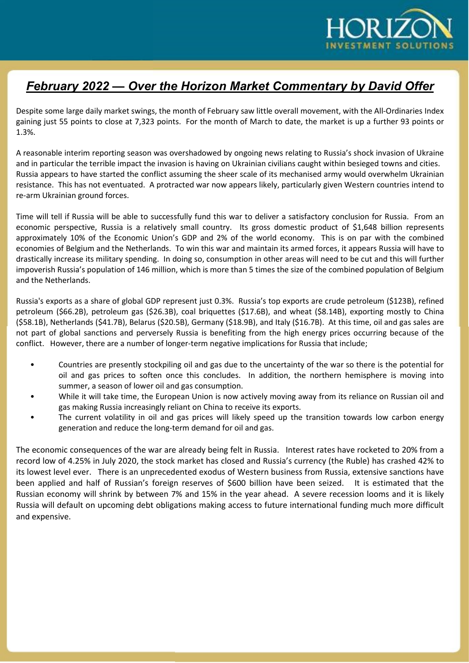

## February 2022 — Over the Horizon Market Commentary by David Offer

Despite some large daily market swings, the month of February saw little overall movement, with the All-Ordinaries Index gaining just 55 points to close at 7,323 points. For the month of March to date, the market is up a further 93 points or 1.3%.

A reasonable interim reporting season was overshadowed by ongoing news relating to Russia's shock invasion of Ukraine and in particular the terrible impact the invasion is having on Ukrainian civilians caught within besieged towns and cities. Russia appears to have started the conflict assuming the sheer scale of its mechanised army would overwhelm Ukrainian resistance. This has not eventuated. A protracted war now appears likely, particularly given Western countries intend to re-arm Ukrainian ground forces.

Time will tell if Russia will be able to successfully fund this war to deliver a satisfactory conclusion for Russia. From an economic perspective, Russia is a relatively small country. Its gross domestic product of \$1,648 billion represents approximately 10% of the Economic Union's GDP and 2% of the world economy. This is on par with the combined economies of Belgium and the Netherlands. To win this war and maintain its armed forces, it appears Russia will have to drastically increase its military spending. In doing so, consumption in other areas will need to be cut and this will further impoverish Russia's population of 146 million, which is more than 5 times the size of the combined population of Belgium and the Netherlands.

Russia's exports as a share of global GDP represent just 0.3%. Russia's top exports are crude petroleum (\$123B), refined petroleum (\$66.2B), petroleum gas (\$26.3B), coal briquettes (\$17.6B), and wheat (\$8.14B), exporting mostly to China (\$58.1B), Netherlands (\$41.7B), Belarus (\$20.5B), Germany (\$18.9B), and Italy (\$16.7B). At this time, oil and gas sales are not part of global sanctions and perversely Russia is benefiting from the high energy prices occurring because of the conflict. However, there are a number of longer-term negative implications for Russia that include;

- Countries are presently stockpiling oil and gas due to the uncertainty of the war so there is the potential for oil and gas prices to soften once this concludes. In addition, the northern hemisphere is moving into summer, a season of lower oil and gas consumption.
- While it will take time, the European Union is now actively moving away from its reliance on Russian oil and gas making Russia increasingly reliant on China to receive its exports.
- The current volatility in oil and gas prices will likely speed up the transition towards low carbon energy generation and reduce the long-term demand for oil and gas.

The economic consequences of the war are already being felt in Russia. Interest rates have rocketed to 20% from a record low of 4.25% in July 2020, the stock market has closed and Russia's currency (the Ruble) has crashed 42% to its lowest level ever. There is an unprecedented exodus of Western business from Russia, extensive sanctions have been applied and half of Russian's foreign reserves of \$600 billion have been seized. It is estimated that the Russian economy will shrink by between 7% and 15% in the year ahead. A severe recession looms and it is likely Russia will default on upcoming debt obligations making access to future international funding much more difficult and expensive.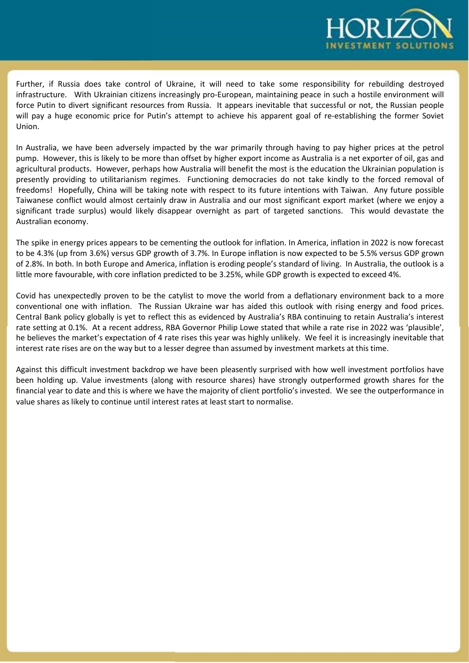

Further, if Russia does take control of Ukraine, it will need to take some responsibility for rebuilding destroyed infrastructure. With Ukrainian citizens increasingly pro-European, maintaining peace in such a hostile environment will force Putin to divert significant resources from Russia. It appears inevitable that successful or not, the Russian people will pay a huge economic price for Putin's attempt to achieve his apparent goal of re-establishing the former Soviet Union.

In Australia, we have been adversely impacted by the war primarily through having to pay higher prices at the petrol pump. However, this is likely to be more than offset by higher export income as Australia is a net exporter of oil, gas and agricultural products. However, perhaps how Australia will benefit the most is the education the Ukrainian population is presently providing to utilitarianism regimes. Functioning democracies do not take kindly to the forced removal of freedoms! Hopefully, China will be taking note with respect to its future intentions with Taiwan. Any future possible Taiwanese conflict would almost certainly draw in Australia and our most significant export market (where we enjoy a significant trade surplus) would likely disappear overnight as part of targeted sanctions. This would devastate the Australian economy.

The spike in energy prices appears to be cementing the outlook for inflation. In America, inflation in 2022 is now forecast to be 4.3% (up from 3.6%) versus GDP growth of 3.7%. In Europe inflation is now expected to be 5.5% versus GDP grown of 2.8%. In both. In both Europe and America, inflation is eroding people's standard of living. In Australia, the outlook is a little more favourable, with core inflation predicted to be 3.25%, while GDP growth is expected to exceed 4%.

Covid has unexpectedly proven to be the catylist to move the world from a deflationary environment back to a more conventional one with inflation. The Russian Ukraine war has aided this outlook with rising energy and food prices. Central Bank policy globally is yet to reflect this as evidenced by Australia's RBA continuing to retain Australia's interest rate setting at 0.1%. At a recent address, RBA Governor Philip Lowe stated that while a rate rise in 2022 was 'plausible', he believes the market's expectation of 4 rate rises this year was highly unlikely. We feel it is increasingly inevitable that interest rate rises are on the way but to a lesser degree than assumed by investment markets at this time.

Against this difficult investment backdrop we have been pleasently surprised with how well investment portfolios have been holding up. Value investments (along with resource shares) have strongly outperformed growth shares for the financial year to date and this is where we have the majority of client portfolio's invested. We see the outperformance in value shares as likely to continue until interest rates at least start to normalise.